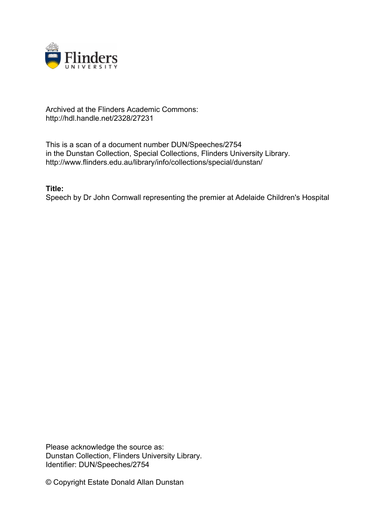

## Archived at the Flinders Academic Commons: http://hdl.handle.net/2328/27231

This is a scan of a document number DUN/Speeches/2754 in the Dunstan Collection, Special Collections, Flinders University Library. http://www.flinders.edu.au/library/info/collections/special/dunstan/

## **Title:**

Speech by Dr John Cornwall representing the premier at Adelaide Children's Hospital

Please acknowledge the source as: Dunstan Collection, Flinders University Library. Identifier: DUN/Speeches/2754

© Copyright Estate Donald Allan Dunstan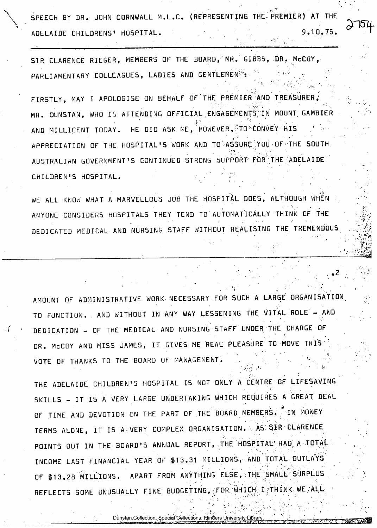SPEECH BY DR. JOHN CORNWALL M.L.C. (REPRESENTING THE PREMIER) AT THE ADELAIDE CHILDRENS' HOSPITAL. 1999 10.75.

SIR CLARENCE RIEGER, MEMBERS OF THE BOARD, MR. GIBBS, DR. McCOY, PARLIAMENTARY COLLEAGUES, LADIES AND GENTLEMEN/':

FIRSTLY, MAY I APOLOGISE ON BEHALF OF THE PREMIER AND TREASURER,' MR. DUNSTAN, WHO IS ATTENDING OFFICIAL ENGAGEMENTS IN MOUNT GAMBIER AND MILLICENT TODAY. HE DID ASK ME, HOWEVER, TO CONVEY HIS APPRECIATION OF THE HOSPITAL'S WORK AND TO ASSURE YOU OF THE SOUTH AUSTRALIAN GOVERNMENT'S CONTINUED STRONG SUPPORT FOR' THE/ADELAIDE CHILDREN'S HOSPITAL.

WE ALL KNOW WHAT A MARVELLOUS JOB THE HOSPITAL DOES, ALTHOUGH WHEN ANYONE CONSIDERS HOSPITALS THEY TEND TO AUTOMATICALLY THINK OF THE DEDICATED MEDICAL AND NURSING STAFF WITHOUT REALISING THE TREMENDOUS

AMOUNT OF ADMINISTRATIVE WORK NECESSARY FOR SUCH A LARGE.ORGANISATION TO FUNCTION. AND WITHOUT IN ANY WAY LESSENING THE VITAL ROLE - AND DEDICATION - OF THE MEDICAL AND NURSING STAFF UNDER THE CHARGE OF DR. McCOY AND MISS JAMES, IT GIVES ME REAL PLEASURE TO MOVE THIS VOTE OF THANKS TO THE BOARD OF MANAGEMENT.

THE ADELAIDE CHILDREN'S HOSPITAL IS NOT ONLY A CENTRE OF LIFESAVING SKILLS - IT IS A VERY LARGE UNDERTAKING WHICH REQUIRES A GREAT DEAL OF TIME AND DEVOTION ON THE PART OF THE BOARD MEMBERS. IN MONEY TERMS ALONE, IT IS A VERY COMPLEX ORGANISATION. AS SIR CLARENCE POINTS OUT IN THE BOARD'S ANNUAL REPORT, THE HOSPITAL' HAD A TOTAL INCOME LAST FINANCIAL YEAR OF \$13.31 MILLIONS, AND TOTAL OUTLAYS OF \$13.28 MILLIONS. APART FROM ANYTHING ELSE, THE SMALL SURPLUS REFLECTS SOME UNUSUALLY FINE BUDGETING, FOR WHICH I THINK WE. ALL

Dunstan Collection, Special Collections, Flinders University Library.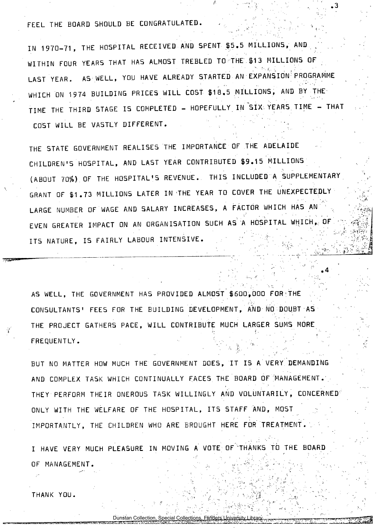FEEL THE BOARD SHOULD BE CONGRATULATED.

IN 1970-71, THE HOSPITAL RECEIVED AND SPENT \$5.5 MILLIONS, AND WITHIN FOUR YEARS THAT HAS ALMOST TREBLED TO THE \$13 MILLIONS OF LAST YEAR. AS WELL, YOU HAVE ALREADY STARTED AN EXPANSION' PROGRAMME WHICH ON 1974 BUILDING PRICES WILL COST \$18.5 MILLIONS, AND BY THE TIME THE THIRD STAGE IS COMPLETED - HOPEFULLY IN SIX. YEARS TIME - THAT COST WILL BE VASTLY DIFFERENT.

THE STATE GOVERNMENT REALISES THE IMPORTANCE OF THE ADELAIDE CHILDREN'S HOSPITAL, AND LAST YEAR CONTRIBUTED \$9.15 MILLIONS (ABOUT 70%) OF THE HOSPITAL'S REVENUE. THIS INCLUDED A SUPPLEMENTARY GRANT OF \$1.73 MILLIONS LATER IN THE YEAR TO COVER THE UNEXPECTEDLY LARGE NUMBER OF WAGE AND SALARY INCREASES, A FACTOR WHICH HAS AN EVEN GREATER IMPACT ON AN ORGANISATION SUCH AS A HOSPITAL WHICH, OF ITS NATURE, IS FAIRLY LABOUR INTENSIVE.

AS WELL, THE GOVERNMENT HAS PROVIDED ALMOST \$600,000 FOR THE CONSULTANTS' FEES FOR THE BUILDING DEVELOPMENT, AND NO DOUBT AS THE PROJECT GATHERS PACE, WILL CONTRIBUTE MUCH LARGER SUMS MORE FREQUENTLY.

BUT NO MATTER HOW MUCH THE GOVERNMENT DOES, IT IS A VERY' DEMANDING AND COMPLEX TASK WHICH CONTINUALLY FACES THE BOARD OF 'MANAGEMENT . THEY PERFORM THEIR ONEROUS TASK WILLINGLY AND VOLUNTARILY, CONCERNED ONLY WITH THE WELFARE OF THE HOSPITAL , ITS STAFF AND, MOST IMPORTANTLY, THE CHILDREN WHO ARE BROUGHT HERE FOR TREATMENT.

I HAVE VERY MUCH PLEASURE IN MOVING A VOTE OF "THANKS TO THE BOARD OF MANAGEMENT.

Dunstan Collection, Special Collections, Flinders University

THANK YOU.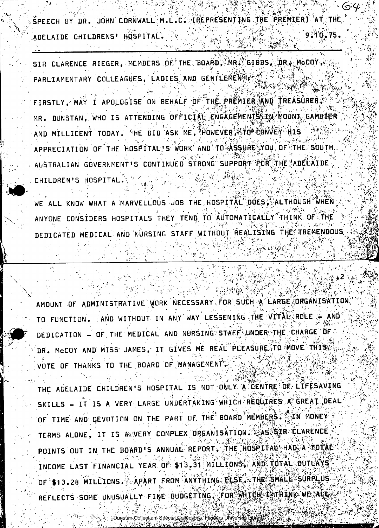SPEECH BY DR. JOHN CORNWALL M.L.C. (REPRESENTING THE PREMIER) AT THE ADELAIDE CHILDRENS' HOSPITAL.  $0.75$ 

SIR CLARENCE RIEGER, MEMBERS OF THE BOARD, MR. GIBBS, DR. McCOY, W. PARLIAMENTARY COLLEAGUES, LADIES AND GENTLEMEN ??

FIRSTLY, MAY I APOLOGISE ON BEHALF OF THE PREMIER AND TREASURER. MR. DUNSTAN, WHO IS ATTENDING OFFICIAL ENGAGEMENTS IN MOUNT GAMBIER AND MILLICENT TODAY. "HE DID ASK ME, HOWEVER, STOP CONVEY" HIS APPRECIATION OF THE HOSPITAL'S WORK AND TO ASSURE YOU OF THE SOUTH. AUSTRALIAN GOVERNMENT'S CONTINUED STRONG SUPPORT FOR THE ADELAIDE CHILDREN'S HOSPITAL.

OW WHAT A MARVELLOUS JOB THE HOSPITAL DOES, ALTHOUGH WHEN WE ALL KN ANYONE CONSIDERS HOSPITALS THEY TEND TO AUTOMATICALLY THINK OF THE DEDICATED MEDICAL AND NURSING STAFF WITHOUT REALISING THE TREE

AMOUNT OF ADMINISTRATIVE WORK NECESSARY FOR SUCH A LARGE ORGANISATION. TO FUNCTION. AND WITHOUT IN ANY WAY LESSENING THE VITAL ROLE DEDICATION - OF THE MEDICAL AND NURSING STAFF UNDER THE CHARGE OF DR. McCOY AND MISS JAMES, IT GIVES ME REAL PLEASURE TO MOVE THISS VOTE OF THANKS TO THE BOARD OF MANAGEMENT.

THE ADELAIDE CHILDREN'S HOSPITAL IS NOT ONLY A CENTRE OF LIFESAVING SKILLS - IT IS A VERY LARGE UNDERTAKING WHICH REQUIRES A GREAT DEAL OF TIME AND DEVOTION ON THE PART OF THE BOARD MEMBERS. IN MONEY TERMS ALONE, IT IS A VERY COMPLEX ORGANISATION. AS SER CLARENCE POINTS OUT IN THE BOARD'S ANNUAL REPORT, THE HOSPITAL HAD A TOTAL INCOME LAST FINANCIAL YEAR OF \$13.31 MILLIONS, AND TOTAL OUTLAYS OF \$13.28 MILLIONS. APART FROM ANYTHING FLSE, THE SMALL SURPLUS REFLECTS SOME UNUSUALLY FINE BUDGETTNG, FOR WHICH WATHINK WE ALL

: Dunstan Collection, Special Collections, Flinding University Libria